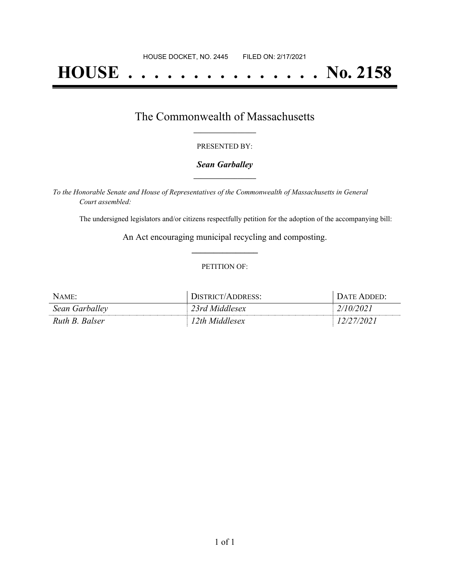# **HOUSE . . . . . . . . . . . . . . . No. 2158**

### The Commonwealth of Massachusetts **\_\_\_\_\_\_\_\_\_\_\_\_\_\_\_\_\_**

#### PRESENTED BY:

#### *Sean Garballey* **\_\_\_\_\_\_\_\_\_\_\_\_\_\_\_\_\_**

*To the Honorable Senate and House of Representatives of the Commonwealth of Massachusetts in General Court assembled:*

The undersigned legislators and/or citizens respectfully petition for the adoption of the accompanying bill:

An Act encouraging municipal recycling and composting. **\_\_\_\_\_\_\_\_\_\_\_\_\_\_\_**

#### PETITION OF:

| $N$ AME:       | DISTRICT/ADDRESS: | DATE ADDED' |
|----------------|-------------------|-------------|
| Sean Garballey | 23rd Middlesex    | 2/10/2021   |
| Ruth B. Balser | l 2th Middlesex   | 7202.       |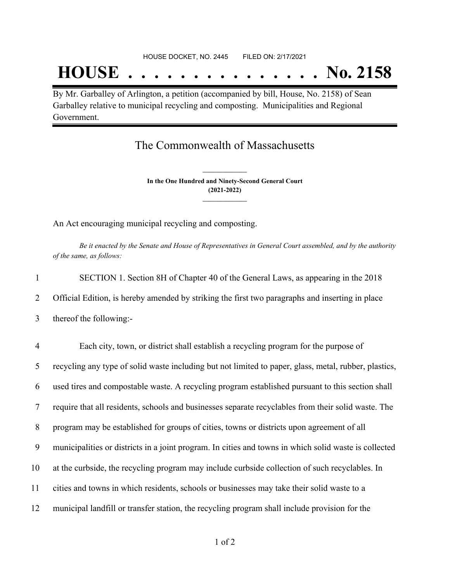# **HOUSE . . . . . . . . . . . . . . . No. 2158**

By Mr. Garballey of Arlington, a petition (accompanied by bill, House, No. 2158) of Sean Garballey relative to municipal recycling and composting. Municipalities and Regional Government.

## The Commonwealth of Massachusetts

**In the One Hundred and Ninety-Second General Court (2021-2022) \_\_\_\_\_\_\_\_\_\_\_\_\_\_\_**

**\_\_\_\_\_\_\_\_\_\_\_\_\_\_\_**

An Act encouraging municipal recycling and composting.

Be it enacted by the Senate and House of Representatives in General Court assembled, and by the authority *of the same, as follows:*

|                | SECTION 1. Section 8H of Chapter 40 of the General Laws, as appearing in the 2018                     |
|----------------|-------------------------------------------------------------------------------------------------------|
| $\overline{2}$ | Official Edition, is hereby amended by striking the first two paragraphs and inserting in place       |
| 3              | thereof the following:-                                                                               |
| $\overline{4}$ | Each city, town, or district shall establish a recycling program for the purpose of                   |
| 5              | recycling any type of solid waste including but not limited to paper, glass, metal, rubber, plastics, |
| 6              | used tires and compostable waste. A recycling program established pursuant to this section shall      |

7 require that all residents, schools and businesses separate recyclables from their solid waste. The

8 program may be established for groups of cities, towns or districts upon agreement of all

9 municipalities or districts in a joint program. In cities and towns in which solid waste is collected

- 10 at the curbside, the recycling program may include curbside collection of such recyclables. In
- 11 cities and towns in which residents, schools or businesses may take their solid waste to a
- 12 municipal landfill or transfer station, the recycling program shall include provision for the